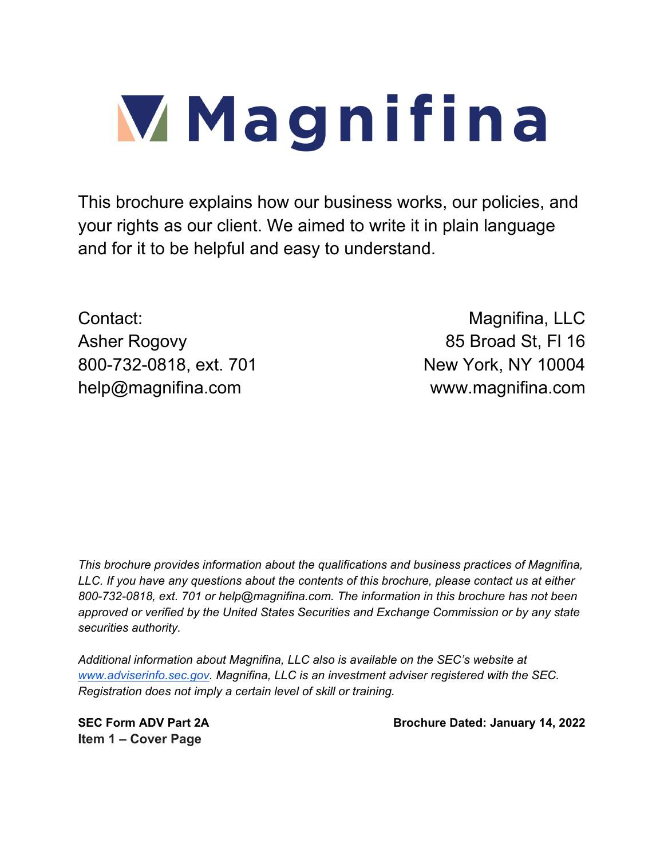# **Magnifina**

This brochure explains how our business works, our policies, and your rights as our client. We aimed to write it in plain language and for it to be helpful and easy to understand.

Contact: Contact: Contact: Contact: Contact: Contact: Contact: Contact: Contact: Contact: Contact: Contact: Contact: Contact: Contact: Contact: Contact: Contact: Contact: Contact: Contact: Contact: Contact: Contact: Contac Asher Rogovy 85 Broad St, Fl 16 800-732-0818, ext. 701 New York, NY 10004 help@magnifina.com www.magnifina.com

*This brochure provides information about the qualifications and business practices of Magnifina, LLC. If you have any questions about the contents of this brochure, please contact us at either 800-732-0818, ext. 701 or help@magnifina.com. The information in this brochure has not been approved or verified by the United States Securities and Exchange Commission or by any state securities authority.* 

*Additional information about Magnifina, LLC also is available on the SEC's website at www.adviserinfo.sec.gov. Magnifina, LLC is an investment adviser registered with the SEC. Registration does not imply a certain level of skill or training.* 

**Item 1 – Cover Page** 

SEC Form ADV Part 2A Brochure Dated: January 14, 2022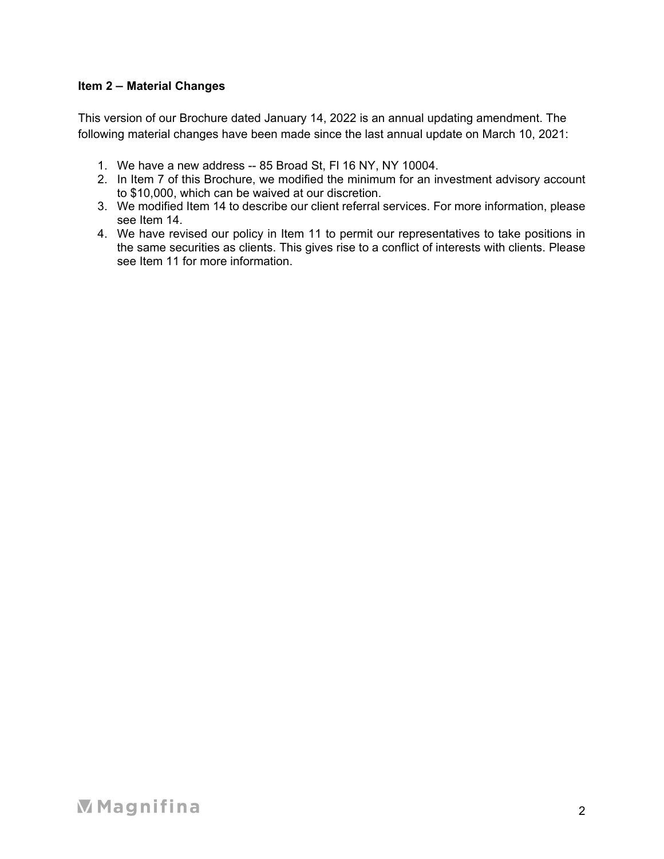# **Item 2 – Material Changes**

This version of our Brochure dated January 14, 2022 is an annual updating amendment. The following material changes have been made since the last annual update on March 10, 2021:

- 1. We have a new address -- 85 Broad St, Fl 16 NY, NY 10004.
- 2. In Item 7 of this Brochure, we modified the minimum for an investment advisory account to \$10,000, which can be waived at our discretion.
- 3. We modified Item 14 to describe our client referral services. For more information, please see Item 14.
- 4. We have revised our policy in Item 11 to permit our representatives to take positions in the same securities as clients. This gives rise to a conflict of interests with clients. Please see Item 11 for more information.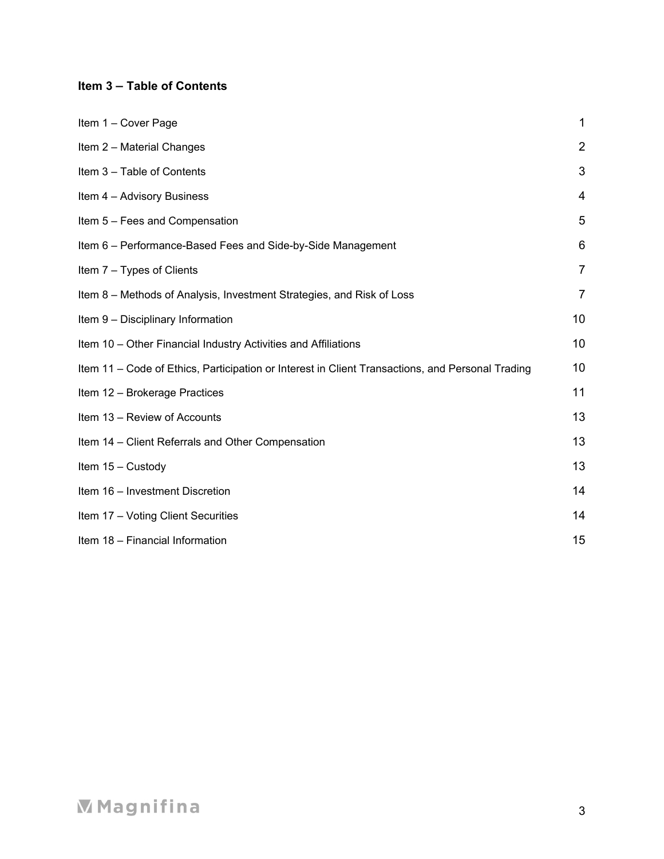# **Item 3 – Table of Contents**

| Item 1 - Cover Page                                                                              | 1              |
|--------------------------------------------------------------------------------------------------|----------------|
| Item 2 - Material Changes                                                                        | $\overline{2}$ |
| Item 3 - Table of Contents                                                                       | 3              |
| Item 4 - Advisory Business                                                                       | 4              |
| Item 5 - Fees and Compensation                                                                   | 5              |
| Item 6 - Performance-Based Fees and Side-by-Side Management                                      | 6              |
| Item 7 - Types of Clients                                                                        | $\overline{7}$ |
| Item 8 – Methods of Analysis, Investment Strategies, and Risk of Loss                            | $\overline{7}$ |
| Item 9 - Disciplinary Information                                                                | 10             |
| Item 10 - Other Financial Industry Activities and Affiliations                                   | 10             |
| Item 11 - Code of Ethics, Participation or Interest in Client Transactions, and Personal Trading | 10             |
| Item 12 - Brokerage Practices                                                                    | 11             |
| Item 13 - Review of Accounts                                                                     | 13             |
| Item 14 - Client Referrals and Other Compensation                                                | 13             |
| Item 15 - Custody                                                                                | 13             |
| Item 16 - Investment Discretion                                                                  | 14             |
| Item 17 - Voting Client Securities                                                               | 14             |
| Item 18 - Financial Information                                                                  | 15             |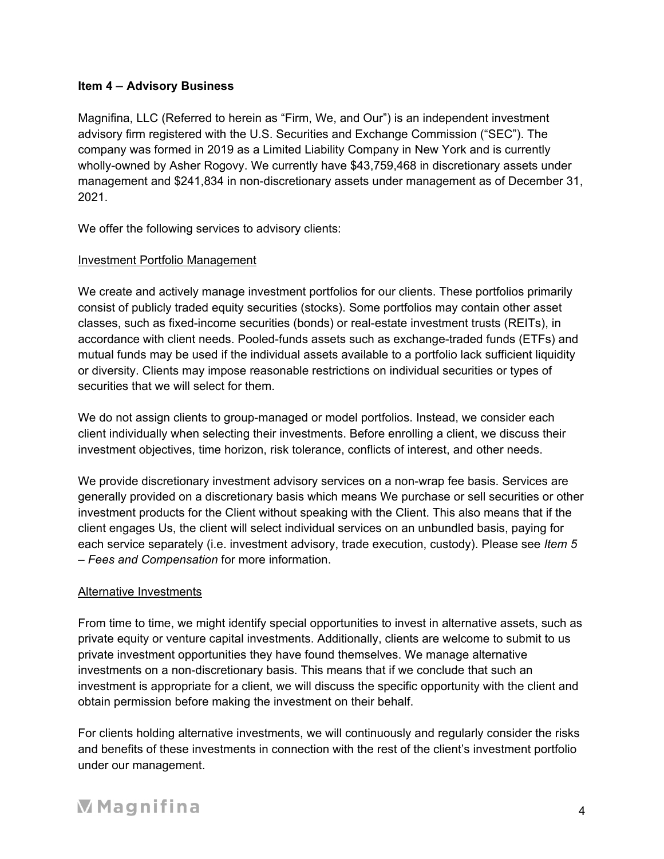## **Item 4 – Advisory Business**

Magnifina, LLC (Referred to herein as "Firm, We, and Our") is an independent investment advisory firm registered with the U.S. Securities and Exchange Commission ("SEC"). The company was formed in 2019 as a Limited Liability Company in New York and is currently wholly-owned by Asher Rogovy. We currently have \$43,759,468 in discretionary assets under management and \$241,834 in non-discretionary assets under management as of December 31, 2021.

We offer the following services to advisory clients:

# Investment Portfolio Management

We create and actively manage investment portfolios for our clients. These portfolios primarily consist of publicly traded equity securities (stocks). Some portfolios may contain other asset classes, such as fixed-income securities (bonds) or real-estate investment trusts (REITs), in accordance with client needs. Pooled-funds assets such as exchange-traded funds (ETFs) and mutual funds may be used if the individual assets available to a portfolio lack sufficient liquidity or diversity. Clients may impose reasonable restrictions on individual securities or types of securities that we will select for them.

We do not assign clients to group-managed or model portfolios. Instead, we consider each client individually when selecting their investments. Before enrolling a client, we discuss their investment objectives, time horizon, risk tolerance, conflicts of interest, and other needs.

We provide discretionary investment advisory services on a non-wrap fee basis. Services are generally provided on a discretionary basis which means We purchase or sell securities or other investment products for the Client without speaking with the Client. This also means that if the client engages Us, the client will select individual services on an unbundled basis, paying for each service separately (i.e. investment advisory, trade execution, custody). Please see *Item 5 – Fees and Compensation* for more information.

# Alternative Investments

From time to time, we might identify special opportunities to invest in alternative assets, such as private equity or venture capital investments. Additionally, clients are welcome to submit to us private investment opportunities they have found themselves. We manage alternative investments on a non-discretionary basis. This means that if we conclude that such an investment is appropriate for a client, we will discuss the specific opportunity with the client and obtain permission before making the investment on their behalf.

For clients holding alternative investments, we will continuously and regularly consider the risks and benefits of these investments in connection with the rest of the client's investment portfolio under our management.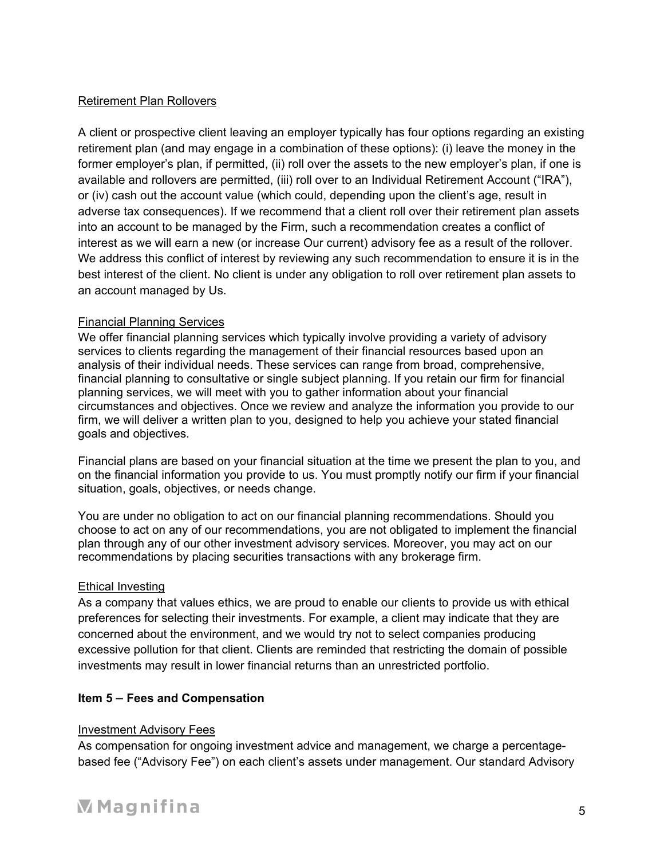# Retirement Plan Rollovers

A client or prospective client leaving an employer typically has four options regarding an existing retirement plan (and may engage in a combination of these options): (i) leave the money in the former employer's plan, if permitted, (ii) roll over the assets to the new employer's plan, if one is available and rollovers are permitted, (iii) roll over to an Individual Retirement Account ("IRA"), or (iv) cash out the account value (which could, depending upon the client's age, result in adverse tax consequences). If we recommend that a client roll over their retirement plan assets into an account to be managed by the Firm, such a recommendation creates a conflict of interest as we will earn a new (or increase Our current) advisory fee as a result of the rollover. We address this conflict of interest by reviewing any such recommendation to ensure it is in the best interest of the client. No client is under any obligation to roll over retirement plan assets to an account managed by Us.

# Financial Planning Services

We offer financial planning services which typically involve providing a variety of advisory services to clients regarding the management of their financial resources based upon an analysis of their individual needs. These services can range from broad, comprehensive, financial planning to consultative or single subject planning. If you retain our firm for financial planning services, we will meet with you to gather information about your financial circumstances and objectives. Once we review and analyze the information you provide to our firm, we will deliver a written plan to you, designed to help you achieve your stated financial goals and objectives.

Financial plans are based on your financial situation at the time we present the plan to you, and on the financial information you provide to us. You must promptly notify our firm if your financial situation, goals, objectives, or needs change.

You are under no obligation to act on our financial planning recommendations. Should you choose to act on any of our recommendations, you are not obligated to implement the financial plan through any of our other investment advisory services. Moreover, you may act on our recommendations by placing securities transactions with any brokerage firm.

## Ethical Investing

As a company that values ethics, we are proud to enable our clients to provide us with ethical preferences for selecting their investments. For example, a client may indicate that they are concerned about the environment, and we would try not to select companies producing excessive pollution for that client. Clients are reminded that restricting the domain of possible investments may result in lower financial returns than an unrestricted portfolio.

# **Item 5 – Fees and Compensation**

## Investment Advisory Fees

As compensation for ongoing investment advice and management, we charge a percentagebased fee ("Advisory Fee") on each client's assets under management. Our standard Advisory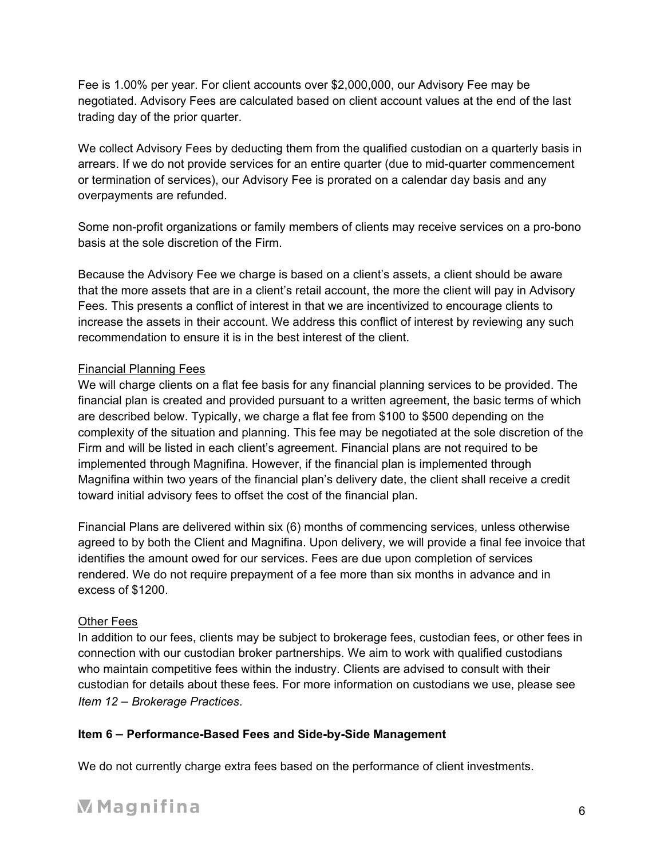Fee is 1.00% per year. For client accounts over \$2,000,000, our Advisory Fee may be negotiated. Advisory Fees are calculated based on client account values at the end of the last trading day of the prior quarter.

We collect Advisory Fees by deducting them from the qualified custodian on a quarterly basis in arrears. If we do not provide services for an entire quarter (due to mid-quarter commencement or termination of services), our Advisory Fee is prorated on a calendar day basis and any overpayments are refunded.

Some non-profit organizations or family members of clients may receive services on a pro-bono basis at the sole discretion of the Firm.

Because the Advisory Fee we charge is based on a client's assets, a client should be aware that the more assets that are in a client's retail account, the more the client will pay in Advisory Fees. This presents a conflict of interest in that we are incentivized to encourage clients to increase the assets in their account. We address this conflict of interest by reviewing any such recommendation to ensure it is in the best interest of the client.

# Financial Planning Fees

We will charge clients on a flat fee basis for any financial planning services to be provided. The financial plan is created and provided pursuant to a written agreement, the basic terms of which are described below. Typically, we charge a flat fee from \$100 to \$500 depending on the complexity of the situation and planning. This fee may be negotiated at the sole discretion of the Firm and will be listed in each client's agreement. Financial plans are not required to be implemented through Magnifina. However, if the financial plan is implemented through Magnifina within two years of the financial plan's delivery date, the client shall receive a credit toward initial advisory fees to offset the cost of the financial plan.

Financial Plans are delivered within six (6) months of commencing services, unless otherwise agreed to by both the Client and Magnifina. Upon delivery, we will provide a final fee invoice that identifies the amount owed for our services. Fees are due upon completion of services rendered. We do not require prepayment of a fee more than six months in advance and in excess of \$1200.

## Other Fees

In addition to our fees, clients may be subject to brokerage fees, custodian fees, or other fees in connection with our custodian broker partnerships. We aim to work with qualified custodians who maintain competitive fees within the industry. Clients are advised to consult with their custodian for details about these fees. For more information on custodians we use, please see *Item 12 – Brokerage Practices*.

# **Item 6 – Performance-Based Fees and Side-by-Side Management**

We do not currently charge extra fees based on the performance of client investments.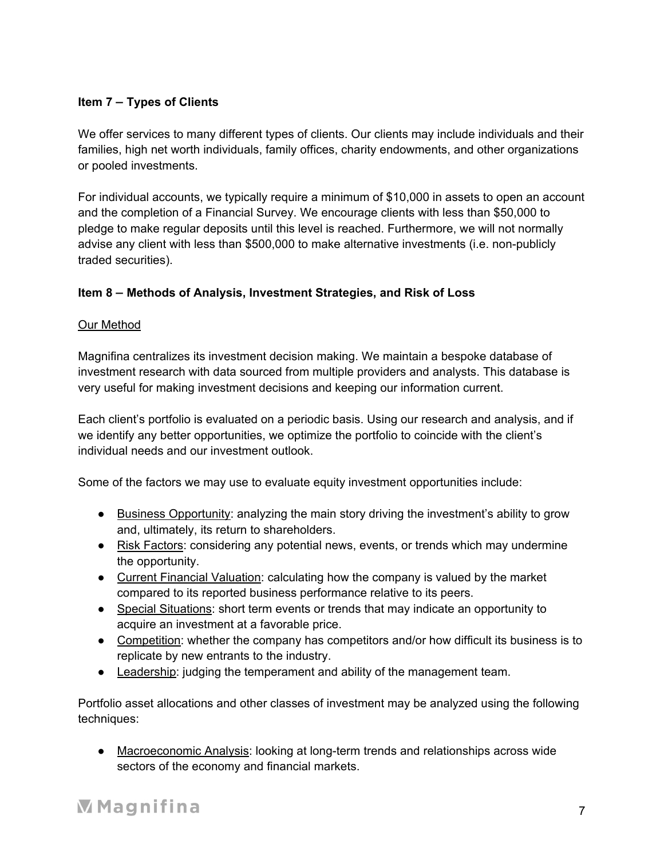# **Item 7 – Types of Clients**

We offer services to many different types of clients. Our clients may include individuals and their families, high net worth individuals, family offices, charity endowments, and other organizations or pooled investments.

For individual accounts, we typically require a minimum of \$10,000 in assets to open an account and the completion of a Financial Survey. We encourage clients with less than \$50,000 to pledge to make regular deposits until this level is reached. Furthermore, we will not normally advise any client with less than \$500,000 to make alternative investments (i.e. non-publicly traded securities).

# **Item 8 – Methods of Analysis, Investment Strategies, and Risk of Loss**

# Our Method

Magnifina centralizes its investment decision making. We maintain a bespoke database of investment research with data sourced from multiple providers and analysts. This database is very useful for making investment decisions and keeping our information current.

Each client's portfolio is evaluated on a periodic basis. Using our research and analysis, and if we identify any better opportunities, we optimize the portfolio to coincide with the client's individual needs and our investment outlook.

Some of the factors we may use to evaluate equity investment opportunities include:

- Business Opportunity: analyzing the main story driving the investment's ability to grow and, ultimately, its return to shareholders.
- Risk Factors: considering any potential news, events, or trends which may undermine the opportunity.
- Current Financial Valuation: calculating how the company is valued by the market compared to its reported business performance relative to its peers.
- Special Situations: short term events or trends that may indicate an opportunity to acquire an investment at a favorable price.
- Competition: whether the company has competitors and/or how difficult its business is to replicate by new entrants to the industry.
- Leadership: judging the temperament and ability of the management team.

Portfolio asset allocations and other classes of investment may be analyzed using the following techniques:

● Macroeconomic Analysis: looking at long-term trends and relationships across wide sectors of the economy and financial markets.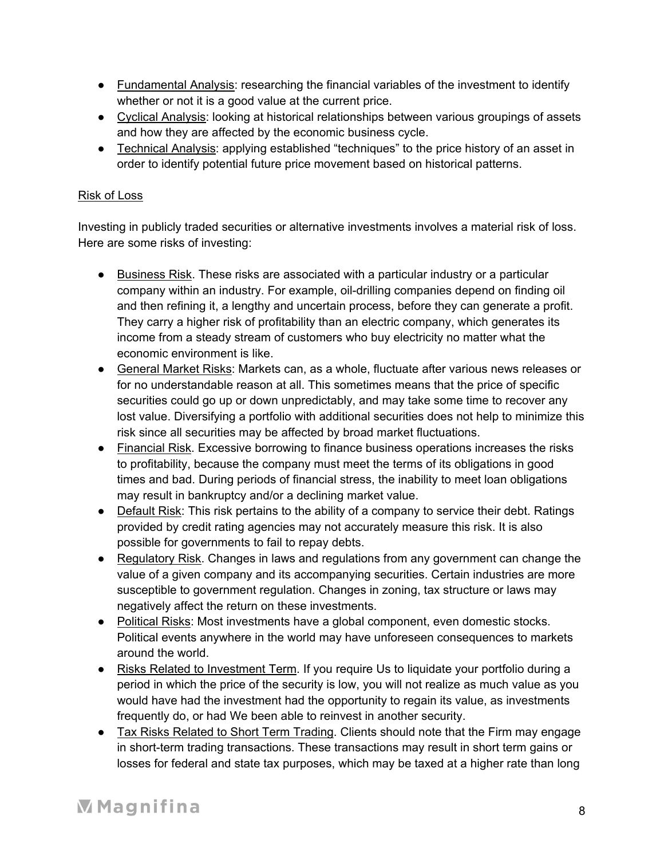- Fundamental Analysis: researching the financial variables of the investment to identify whether or not it is a good value at the current price.
- Cyclical Analysis: looking at historical relationships between various groupings of assets and how they are affected by the economic business cycle.
- Technical Analysis: applying established "techniques" to the price history of an asset in order to identify potential future price movement based on historical patterns.

# Risk of Loss

Investing in publicly traded securities or alternative investments involves a material risk of loss. Here are some risks of investing:

- Business Risk. These risks are associated with a particular industry or a particular company within an industry. For example, oil-drilling companies depend on finding oil and then refining it, a lengthy and uncertain process, before they can generate a profit. They carry a higher risk of profitability than an electric company, which generates its income from a steady stream of customers who buy electricity no matter what the economic environment is like.
- General Market Risks: Markets can, as a whole, fluctuate after various news releases or for no understandable reason at all. This sometimes means that the price of specific securities could go up or down unpredictably, and may take some time to recover any lost value. Diversifying a portfolio with additional securities does not help to minimize this risk since all securities may be affected by broad market fluctuations.
- Financial Risk. Excessive borrowing to finance business operations increases the risks to profitability, because the company must meet the terms of its obligations in good times and bad. During periods of financial stress, the inability to meet loan obligations may result in bankruptcy and/or a declining market value.
- Default Risk: This risk pertains to the ability of a company to service their debt. Ratings provided by credit rating agencies may not accurately measure this risk. It is also possible for governments to fail to repay debts.
- Regulatory Risk. Changes in laws and regulations from any government can change the value of a given company and its accompanying securities. Certain industries are more susceptible to government regulation. Changes in zoning, tax structure or laws may negatively affect the return on these investments.
- Political Risks: Most investments have a global component, even domestic stocks. Political events anywhere in the world may have unforeseen consequences to markets around the world.
- Risks Related to Investment Term. If you require Us to liquidate your portfolio during a period in which the price of the security is low, you will not realize as much value as you would have had the investment had the opportunity to regain its value, as investments frequently do, or had We been able to reinvest in another security.
- Tax Risks Related to Short Term Trading. Clients should note that the Firm may engage in short-term trading transactions. These transactions may result in short term gains or losses for federal and state tax purposes, which may be taxed at a higher rate than long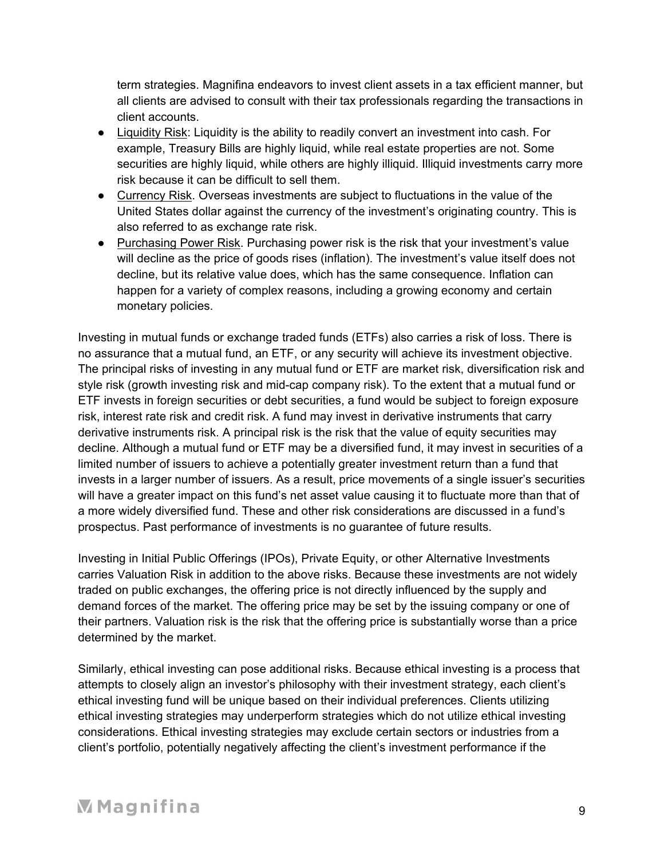term strategies. Magnifina endeavors to invest client assets in a tax efficient manner, but all clients are advised to consult with their tax professionals regarding the transactions in client accounts.

- Liquidity Risk: Liquidity is the ability to readily convert an investment into cash. For example, Treasury Bills are highly liquid, while real estate properties are not. Some securities are highly liquid, while others are highly illiquid. Illiquid investments carry more risk because it can be difficult to sell them.
- Currency Risk. Overseas investments are subject to fluctuations in the value of the United States dollar against the currency of the investment's originating country. This is also referred to as exchange rate risk.
- Purchasing Power Risk. Purchasing power risk is the risk that your investment's value will decline as the price of goods rises (inflation). The investment's value itself does not decline, but its relative value does, which has the same consequence. Inflation can happen for a variety of complex reasons, including a growing economy and certain monetary policies.

Investing in mutual funds or exchange traded funds (ETFs) also carries a risk of loss. There is no assurance that a mutual fund, an ETF, or any security will achieve its investment objective. The principal risks of investing in any mutual fund or ETF are market risk, diversification risk and style risk (growth investing risk and mid-cap company risk). To the extent that a mutual fund or ETF invests in foreign securities or debt securities, a fund would be subject to foreign exposure risk, interest rate risk and credit risk. A fund may invest in derivative instruments that carry derivative instruments risk. A principal risk is the risk that the value of equity securities may decline. Although a mutual fund or ETF may be a diversified fund, it may invest in securities of a limited number of issuers to achieve a potentially greater investment return than a fund that invests in a larger number of issuers. As a result, price movements of a single issuer's securities will have a greater impact on this fund's net asset value causing it to fluctuate more than that of a more widely diversified fund. These and other risk considerations are discussed in a fund's prospectus. Past performance of investments is no guarantee of future results.

Investing in Initial Public Offerings (IPOs), Private Equity, or other Alternative Investments carries Valuation Risk in addition to the above risks. Because these investments are not widely traded on public exchanges, the offering price is not directly influenced by the supply and demand forces of the market. The offering price may be set by the issuing company or one of their partners. Valuation risk is the risk that the offering price is substantially worse than a price determined by the market.

Similarly, ethical investing can pose additional risks. Because ethical investing is a process that attempts to closely align an investor's philosophy with their investment strategy, each client's ethical investing fund will be unique based on their individual preferences. Clients utilizing ethical investing strategies may underperform strategies which do not utilize ethical investing considerations. Ethical investing strategies may exclude certain sectors or industries from a client's portfolio, potentially negatively affecting the client's investment performance if the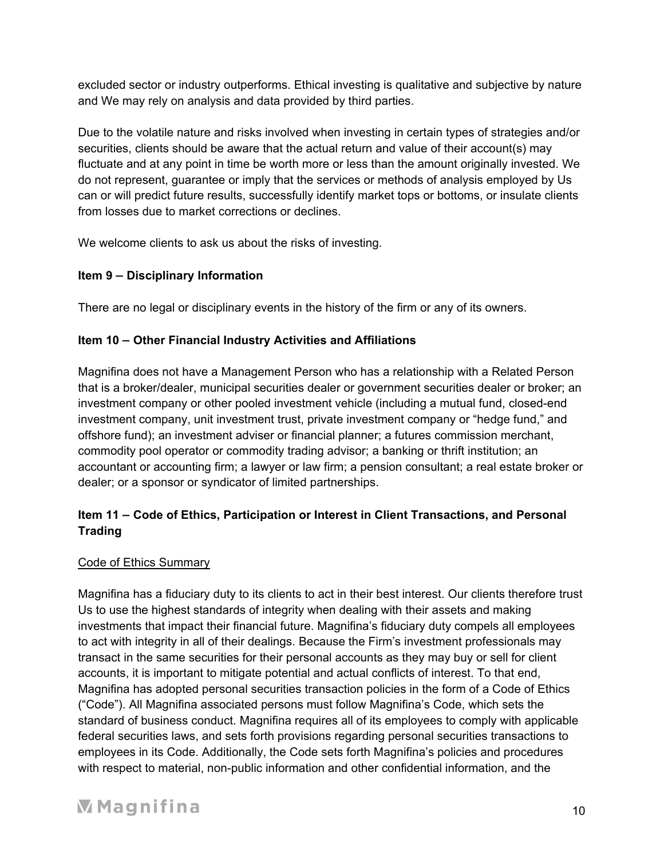excluded sector or industry outperforms. Ethical investing is qualitative and subjective by nature and We may rely on analysis and data provided by third parties.

Due to the volatile nature and risks involved when investing in certain types of strategies and/or securities, clients should be aware that the actual return and value of their account(s) may fluctuate and at any point in time be worth more or less than the amount originally invested. We do not represent, guarantee or imply that the services or methods of analysis employed by Us can or will predict future results, successfully identify market tops or bottoms, or insulate clients from losses due to market corrections or declines.

We welcome clients to ask us about the risks of investing.

# **Item 9 – Disciplinary Information**

There are no legal or disciplinary events in the history of the firm or any of its owners.

# **Item 10 – Other Financial Industry Activities and Affiliations**

Magnifina does not have a Management Person who has a relationship with a Related Person that is a broker/dealer, municipal securities dealer or government securities dealer or broker; an investment company or other pooled investment vehicle (including a mutual fund, closed-end investment company, unit investment trust, private investment company or "hedge fund," and offshore fund); an investment adviser or financial planner; a futures commission merchant, commodity pool operator or commodity trading advisor; a banking or thrift institution; an accountant or accounting firm; a lawyer or law firm; a pension consultant; a real estate broker or dealer; or a sponsor or syndicator of limited partnerships.

# **Item 11 – Code of Ethics, Participation or Interest in Client Transactions, and Personal Trading**

# Code of Ethics Summary

Magnifina has a fiduciary duty to its clients to act in their best interest. Our clients therefore trust Us to use the highest standards of integrity when dealing with their assets and making investments that impact their financial future. Magnifina's fiduciary duty compels all employees to act with integrity in all of their dealings. Because the Firm's investment professionals may transact in the same securities for their personal accounts as they may buy or sell for client accounts, it is important to mitigate potential and actual conflicts of interest. To that end, Magnifina has adopted personal securities transaction policies in the form of a Code of Ethics ("Code"). All Magnifina associated persons must follow Magnifina's Code, which sets the standard of business conduct. Magnifina requires all of its employees to comply with applicable federal securities laws, and sets forth provisions regarding personal securities transactions to employees in its Code. Additionally, the Code sets forth Magnifina's policies and procedures with respect to material, non-public information and other confidential information, and the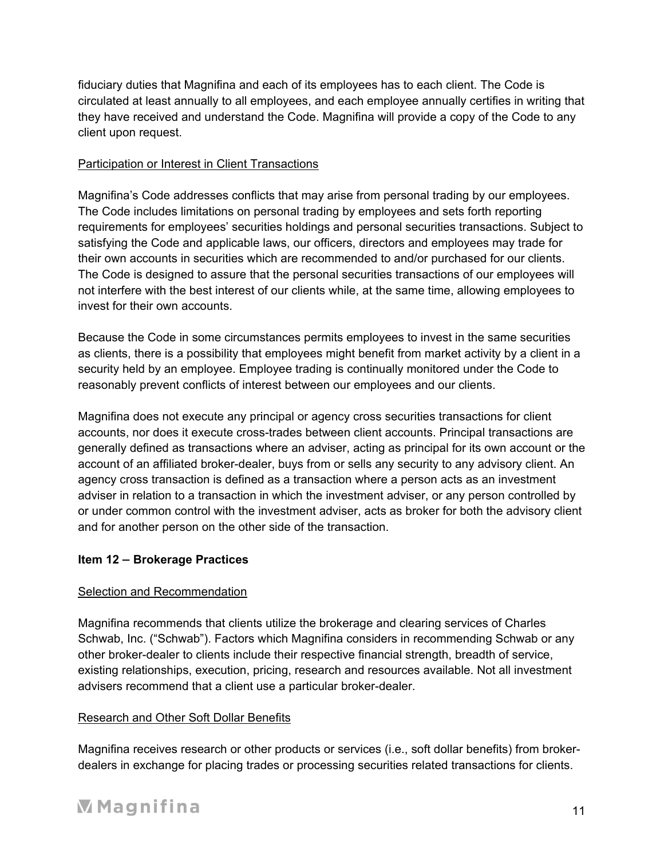fiduciary duties that Magnifina and each of its employees has to each client. The Code is circulated at least annually to all employees, and each employee annually certifies in writing that they have received and understand the Code. Magnifina will provide a copy of the Code to any client upon request.

# Participation or Interest in Client Transactions

Magnifina's Code addresses conflicts that may arise from personal trading by our employees. The Code includes limitations on personal trading by employees and sets forth reporting requirements for employees' securities holdings and personal securities transactions. Subject to satisfying the Code and applicable laws, our officers, directors and employees may trade for their own accounts in securities which are recommended to and/or purchased for our clients. The Code is designed to assure that the personal securities transactions of our employees will not interfere with the best interest of our clients while, at the same time, allowing employees to invest for their own accounts.

Because the Code in some circumstances permits employees to invest in the same securities as clients, there is a possibility that employees might benefit from market activity by a client in a security held by an employee. Employee trading is continually monitored under the Code to reasonably prevent conflicts of interest between our employees and our clients.

Magnifina does not execute any principal or agency cross securities transactions for client accounts, nor does it execute cross-trades between client accounts. Principal transactions are generally defined as transactions where an adviser, acting as principal for its own account or the account of an affiliated broker-dealer, buys from or sells any security to any advisory client. An agency cross transaction is defined as a transaction where a person acts as an investment adviser in relation to a transaction in which the investment adviser, or any person controlled by or under common control with the investment adviser, acts as broker for both the advisory client and for another person on the other side of the transaction.

# **Item 12 – Brokerage Practices**

## Selection and Recommendation

Magnifina recommends that clients utilize the brokerage and clearing services of Charles Schwab, Inc. ("Schwab"). Factors which Magnifina considers in recommending Schwab or any other broker-dealer to clients include their respective financial strength, breadth of service, existing relationships, execution, pricing, research and resources available. Not all investment advisers recommend that a client use a particular broker-dealer.

## Research and Other Soft Dollar Benefits

Magnifina receives research or other products or services (i.e., soft dollar benefits) from brokerdealers in exchange for placing trades or processing securities related transactions for clients.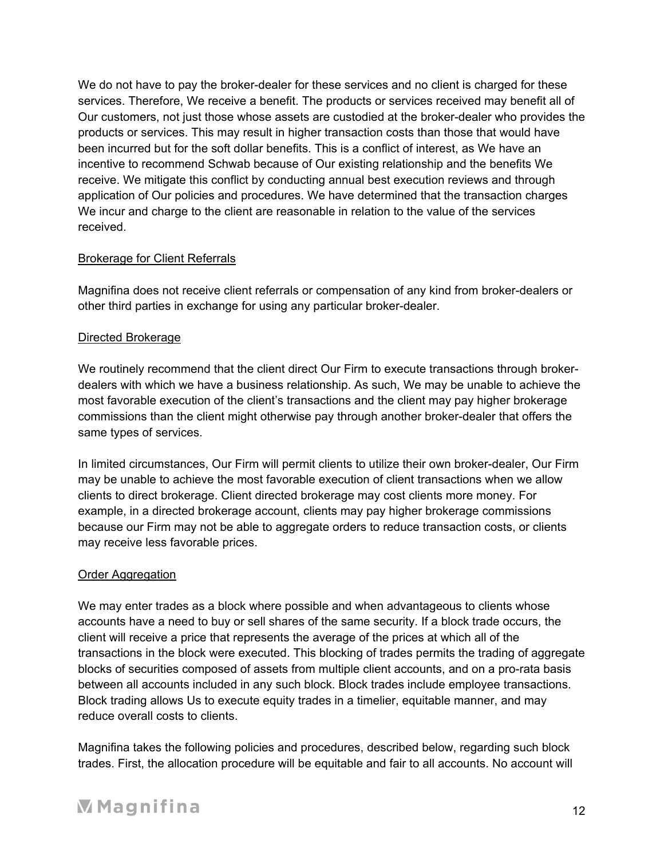We do not have to pay the broker-dealer for these services and no client is charged for these services. Therefore, We receive a benefit. The products or services received may benefit all of Our customers, not just those whose assets are custodied at the broker-dealer who provides the products or services. This may result in higher transaction costs than those that would have been incurred but for the soft dollar benefits. This is a conflict of interest, as We have an incentive to recommend Schwab because of Our existing relationship and the benefits We receive. We mitigate this conflict by conducting annual best execution reviews and through application of Our policies and procedures. We have determined that the transaction charges We incur and charge to the client are reasonable in relation to the value of the services received.

# Brokerage for Client Referrals

Magnifina does not receive client referrals or compensation of any kind from broker-dealers or other third parties in exchange for using any particular broker-dealer.

# Directed Brokerage

We routinely recommend that the client direct Our Firm to execute transactions through brokerdealers with which we have a business relationship. As such, We may be unable to achieve the most favorable execution of the client's transactions and the client may pay higher brokerage commissions than the client might otherwise pay through another broker-dealer that offers the same types of services.

In limited circumstances, Our Firm will permit clients to utilize their own broker-dealer, Our Firm may be unable to achieve the most favorable execution of client transactions when we allow clients to direct brokerage. Client directed brokerage may cost clients more money. For example, in a directed brokerage account, clients may pay higher brokerage commissions because our Firm may not be able to aggregate orders to reduce transaction costs, or clients may receive less favorable prices.

## Order Aggregation

We may enter trades as a block where possible and when advantageous to clients whose accounts have a need to buy or sell shares of the same security. If a block trade occurs, the client will receive a price that represents the average of the prices at which all of the transactions in the block were executed. This blocking of trades permits the trading of aggregate blocks of securities composed of assets from multiple client accounts, and on a pro-rata basis between all accounts included in any such block. Block trades include employee transactions. Block trading allows Us to execute equity trades in a timelier, equitable manner, and may reduce overall costs to clients.

Magnifina takes the following policies and procedures, described below, regarding such block trades. First, the allocation procedure will be equitable and fair to all accounts. No account will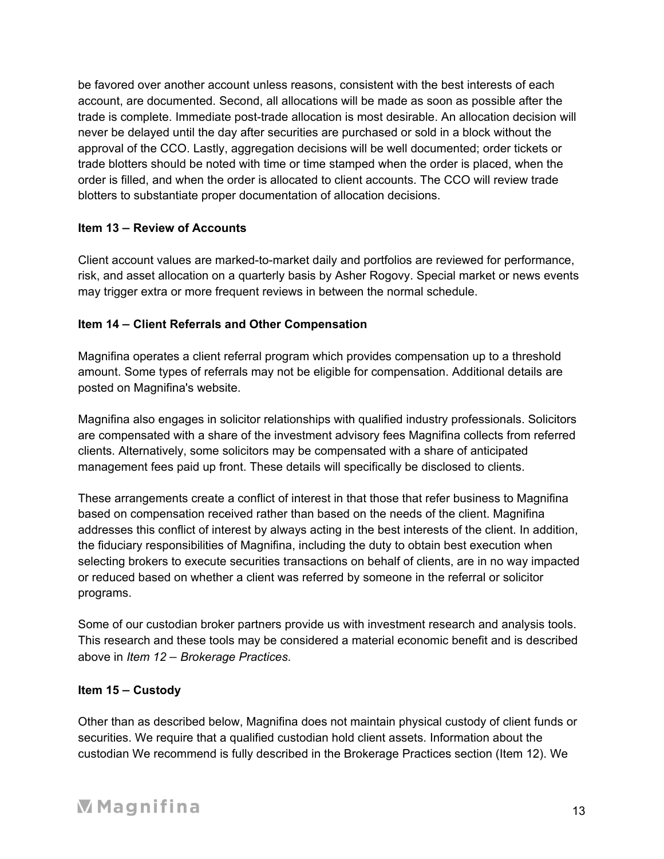be favored over another account unless reasons, consistent with the best interests of each account, are documented. Second, all allocations will be made as soon as possible after the trade is complete. Immediate post-trade allocation is most desirable. An allocation decision will never be delayed until the day after securities are purchased or sold in a block without the approval of the CCO. Lastly, aggregation decisions will be well documented; order tickets or trade blotters should be noted with time or time stamped when the order is placed, when the order is filled, and when the order is allocated to client accounts. The CCO will review trade blotters to substantiate proper documentation of allocation decisions.

# **Item 13 – Review of Accounts**

Client account values are marked-to-market daily and portfolios are reviewed for performance, risk, and asset allocation on a quarterly basis by Asher Rogovy. Special market or news events may trigger extra or more frequent reviews in between the normal schedule.

# **Item 14 – Client Referrals and Other Compensation**

Magnifina operates a client referral program which provides compensation up to a threshold amount. Some types of referrals may not be eligible for compensation. Additional details are posted on Magnifina's website.

Magnifina also engages in solicitor relationships with qualified industry professionals. Solicitors are compensated with a share of the investment advisory fees Magnifina collects from referred clients. Alternatively, some solicitors may be compensated with a share of anticipated management fees paid up front. These details will specifically be disclosed to clients.

These arrangements create a conflict of interest in that those that refer business to Magnifina based on compensation received rather than based on the needs of the client. Magnifina addresses this conflict of interest by always acting in the best interests of the client. In addition, the fiduciary responsibilities of Magnifina, including the duty to obtain best execution when selecting brokers to execute securities transactions on behalf of clients, are in no way impacted or reduced based on whether a client was referred by someone in the referral or solicitor programs.

Some of our custodian broker partners provide us with investment research and analysis tools. This research and these tools may be considered a material economic benefit and is described above in *Item 12 – Brokerage Practices*.

## **Item 15 – Custody**

Other than as described below, Magnifina does not maintain physical custody of client funds or securities. We require that a qualified custodian hold client assets. Information about the custodian We recommend is fully described in the Brokerage Practices section (Item 12). We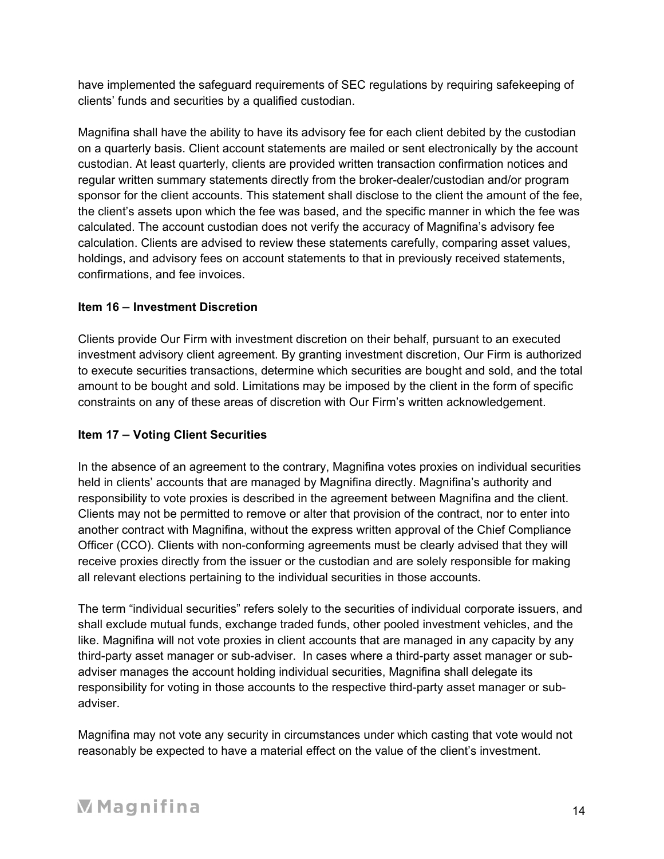have implemented the safeguard requirements of SEC regulations by requiring safekeeping of clients' funds and securities by a qualified custodian.

Magnifina shall have the ability to have its advisory fee for each client debited by the custodian on a quarterly basis. Client account statements are mailed or sent electronically by the account custodian. At least quarterly, clients are provided written transaction confirmation notices and regular written summary statements directly from the broker-dealer/custodian and/or program sponsor for the client accounts. This statement shall disclose to the client the amount of the fee, the client's assets upon which the fee was based, and the specific manner in which the fee was calculated. The account custodian does not verify the accuracy of Magnifina's advisory fee calculation. Clients are advised to review these statements carefully, comparing asset values, holdings, and advisory fees on account statements to that in previously received statements, confirmations, and fee invoices.

# **Item 16 – Investment Discretion**

Clients provide Our Firm with investment discretion on their behalf, pursuant to an executed investment advisory client agreement. By granting investment discretion, Our Firm is authorized to execute securities transactions, determine which securities are bought and sold, and the total amount to be bought and sold. Limitations may be imposed by the client in the form of specific constraints on any of these areas of discretion with Our Firm's written acknowledgement.

# **Item 17 – Voting Client Securities**

In the absence of an agreement to the contrary, Magnifina votes proxies on individual securities held in clients' accounts that are managed by Magnifina directly. Magnifina's authority and responsibility to vote proxies is described in the agreement between Magnifina and the client. Clients may not be permitted to remove or alter that provision of the contract, nor to enter into another contract with Magnifina, without the express written approval of the Chief Compliance Officer (CCO). Clients with non-conforming agreements must be clearly advised that they will receive proxies directly from the issuer or the custodian and are solely responsible for making all relevant elections pertaining to the individual securities in those accounts.

The term "individual securities" refers solely to the securities of individual corporate issuers, and shall exclude mutual funds, exchange traded funds, other pooled investment vehicles, and the like. Magnifina will not vote proxies in client accounts that are managed in any capacity by any third-party asset manager or sub-adviser. In cases where a third-party asset manager or subadviser manages the account holding individual securities, Magnifina shall delegate its responsibility for voting in those accounts to the respective third-party asset manager or subadviser.

Magnifina may not vote any security in circumstances under which casting that vote would not reasonably be expected to have a material effect on the value of the client's investment.